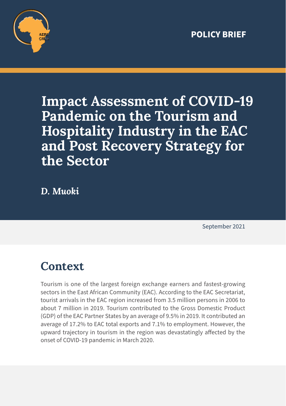

# **Impact Assessment of COVID-19 Pandemic on the Tourism and Hospitality Industry in the EAC and Post Recovery Strategy for the Sector**

*D. Muoki*

September 2021

### **Context**

Tourism is one of the largest foreign exchange earners and fastest-growing sectors in the East African Community (EAC). According to the EAC Secretariat, tourist arrivals in the EAC region increased from 3.5 million persons in 2006 to about 7 million in 2019. Tourism contributed to the Gross Domestic Product (GDP) of the EAC Partner States by an average of 9.5% in 2019. It contributed an average of 17.2% to EAC total exports and 7.1% to employment. However, the upward trajectory in tourism in the region was devastatingly affected by the onset of COVID-19 pandemic in March 2020.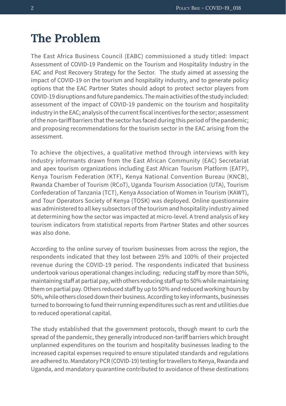### **The Problem**

The East Africa Business Council (EABC) commissioned a study titled: Impact Assessment of COVID-19 Pandemic on the Tourism and Hospitality Industry in the EAC and Post Recovery Strategy for the Sector. The study aimed at assessing the impact of COVID-19 on the tourism and hospitality industry, and to generate policy options that the EAC Partner States should adopt to protect sector players from COVID-19 disruptions and future pandemics. The main activities of the study included: assessment of the impact of COVID-19 pandemic on the tourism and hospitality industry in the EAC; analysis of the current fiscal incentives for the sector; assessment of the non-tariff barriers that the sector has faced during this period of the pandemic; and proposing recommendations for the tourism sector in the EAC arising from the assessment.

To achieve the objectives, a qualitative method through interviews with key industry informants drawn from the East African Community (EAC) Secretariat and apex tourism organizations including East African Tourism Platform (EATP), Kenya Tourism Federation (KTF), Kenya National Convention Bureau (KNCB), Rwanda Chamber of Tourism (RCoT), Uganda Tourism Association (UTA), Tourism Confederation of Tanzania (TCT), Kenya Association of Women in Tourism (KAWT), and Tour Operators Society of Kenya (TOSK) was deployed. Online questionnaire was administered to all key subsectors of the tourism and hospitality industry aimed at determining how the sector was impacted at micro-level. A trend analysis of key tourism indicators from statistical reports from Partner States and other sources was also done.

According to the online survey of tourism businesses from across the region, the respondents indicated that they lost between 25% and 100% of their projected revenue during the COVID-19 period. The respondents indicated that business undertook various operational changes including; reducing staff by more than 50%, maintaining staff at partial pay, with others reducing staff up to 50% while maintaining them on partial pay. Others reduced staff by up to 50% and reduced working hours by 50%, while others closed down their business. According to key informants, businesses turned to borrowing to fund their running expenditures such as rent and utilities due to reduced operational capital.

The study established that the government protocols, though meant to curb the spread of the pandemic, they generally introduced non-tariff barriers which brought unplanned expenditures on the tourism and hospitality businesses leading to the increased capital expenses required to ensure stipulated standards and regulations are adhered to. Mandatory PCR (COVID-19) testing for travellers to Kenya, Rwanda and Uganda, and mandatory quarantine contributed to avoidance of these destinations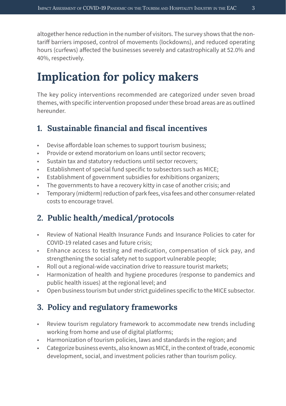altogether hence reduction in the number of visitors. The survey shows that the nontariff barriers imposed, control of movements (lockdowns), and reduced operating hours (curfews) affected the businesses severely and catastrophically at 52.0% and 40%, respectively.

## **Implication for policy makers**

The key policy interventions recommended are categorized under seven broad themes, with specific intervention proposed under these broad areas are as outlined hereunder.

#### **1. Sustainable financial and fiscal incentives**

- Devise affordable loan schemes to support tourism business;
- Provide or extend moratorium on loans until sector recovers;
- Sustain tax and statutory reductions until sector recovers;
- Establishment of special fund specific to subsectors such as MICE;
- Establishment of government subsidies for exhibitions organizers;
- The governments to have a recovery kitty in case of another crisis; and
- Temporary (midterm) reduction of park fees, visa fees and other consumer-related costs to encourage travel.

#### **2. Public health/medical/protocols**

- Review of National Health Insurance Funds and Insurance Policies to cater for COVID-19 related cases and future crisis;
- Enhance access to testing and medication, compensation of sick pay, and strengthening the social safety net to support vulnerable people;
- Roll out a regional-wide vaccination drive to reassure tourist markets;
- Harmonization of health and hygiene procedures (response to pandemics and public health issues) at the regional level; and
- Open business tourism but under strict guidelines specific to the MICE subsector.

#### **3. Policy and regulatory frameworks**

- Review tourism regulatory framework to accommodate new trends including working from home and use of digital platforms;
- Harmonization of tourism policies, laws and standards in the region; and
- Categorize business events, also known as MICE, in the context of trade, economic development, social, and investment policies rather than tourism policy.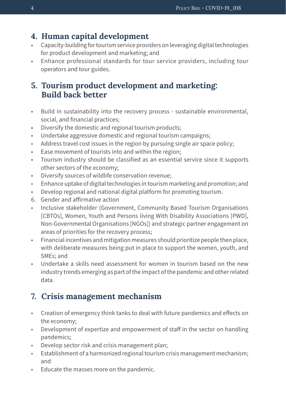#### **4. Human capital development**

- Capacity-building for tourism service providers on leveraging digital technologies for product development and marketing; and
- Enhance professional standards for tour service providers, including tour operators and tour guides.

#### **5. Tourism product development and marketing: Build back better**

- Build in sustainability into the recovery process sustainable environmental, social, and financial practices;
- Diversify the domestic and regional tourism products;
- Undertake aggressive domestic and regional tourism campaigns;
- Address travel cost issues in the region by pursuing single air space policy;
- Ease movement of tourists into and within the region;
- Tourism industry should be classified as an essential service since it supports other sectors of the economy;
- Diversify sources of wildlife conservation revenue;
- Enhance uptake of digital technologies in tourism marketing and promotion; and
- Develop regional and national digital platform for promoting tourism.
- 6. Gender and affirmative action
- Inclusive stakeholder (Government, Community Based Tourism Organisations [CBTOs], Women, Youth and Persons living With Disability Associations [PWD], Non-Governmental Organisations [NGOs]) and strategic partner engagement on areas of priorities for the recovery process;
- Financial incentives and mitigation measures should prioritize people then place, with deliberate measures being put in place to support the women, youth, and SMEs; and
- Undertake a skills need assessment for women in tourism based on the new industry trends emerging as part of the impact of the pandemic and other related data.

#### **7. Crisis management mechanism**

- Creation of emergency think tanks to deal with future pandemics and effects on the economy;
- Development of expertize and empowerment of staff in the sector on handling pandemics;
- Develop sector risk and crisis management plan;
- Establishment of a harmonized regional tourism crisis management mechanism; and
- Educate the masses more on the pandemic.